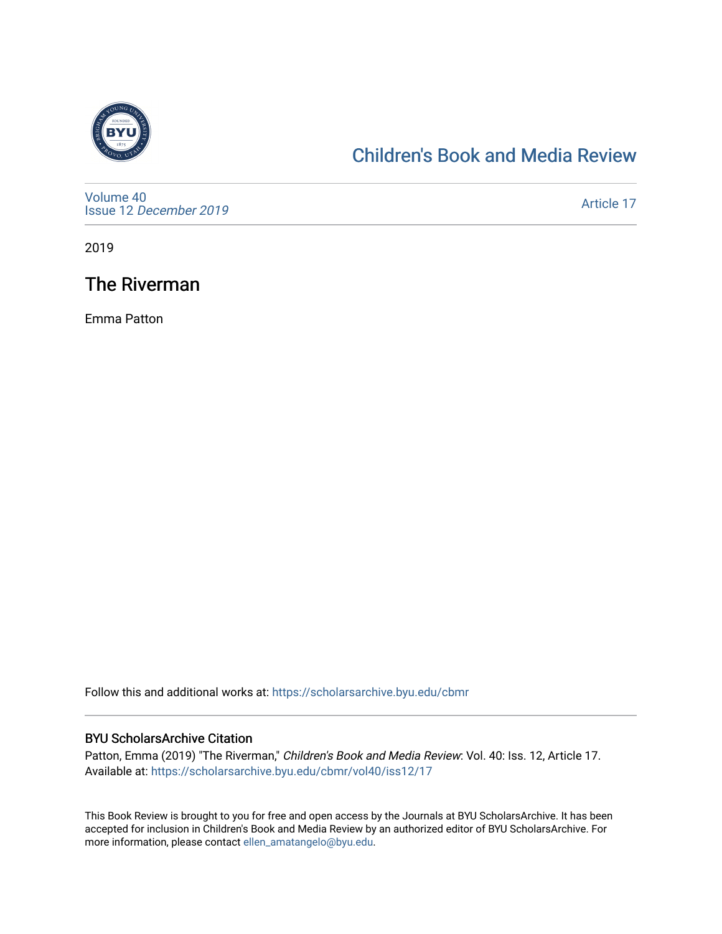

## [Children's Book and Media Review](https://scholarsarchive.byu.edu/cbmr)

[Volume 40](https://scholarsarchive.byu.edu/cbmr/vol40) Issue 12 [December 2019](https://scholarsarchive.byu.edu/cbmr/vol40/iss12)

[Article 17](https://scholarsarchive.byu.edu/cbmr/vol40/iss12/17) 

2019

## The Riverman

Emma Patton

Follow this and additional works at: [https://scholarsarchive.byu.edu/cbmr](https://scholarsarchive.byu.edu/cbmr?utm_source=scholarsarchive.byu.edu%2Fcbmr%2Fvol40%2Fiss12%2F17&utm_medium=PDF&utm_campaign=PDFCoverPages) 

#### BYU ScholarsArchive Citation

Patton, Emma (2019) "The Riverman," Children's Book and Media Review: Vol. 40: Iss. 12, Article 17. Available at: [https://scholarsarchive.byu.edu/cbmr/vol40/iss12/17](https://scholarsarchive.byu.edu/cbmr/vol40/iss12/17?utm_source=scholarsarchive.byu.edu%2Fcbmr%2Fvol40%2Fiss12%2F17&utm_medium=PDF&utm_campaign=PDFCoverPages) 

This Book Review is brought to you for free and open access by the Journals at BYU ScholarsArchive. It has been accepted for inclusion in Children's Book and Media Review by an authorized editor of BYU ScholarsArchive. For more information, please contact [ellen\\_amatangelo@byu.edu.](mailto:ellen_amatangelo@byu.edu)